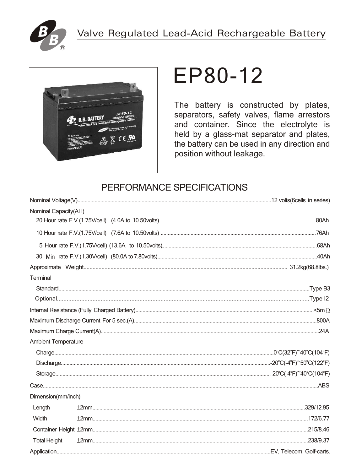



# **EP80-12**

The battery is constructed by plates, separators, safety valves, flame arrestors and container. Since the electrolyte is held by a glass-mat separator and plates, the battery can be used in any direction and position without leakage.

# PERFORMANCE SPECIFICATIONS

| Nominal Capacity(AH)       |  |
|----------------------------|--|
|                            |  |
|                            |  |
|                            |  |
|                            |  |
|                            |  |
| Terminal                   |  |
|                            |  |
|                            |  |
|                            |  |
|                            |  |
|                            |  |
| <b>Ambient Temperature</b> |  |
|                            |  |
|                            |  |
|                            |  |
|                            |  |
| Dimension(mm/inch)         |  |
| Length                     |  |
| Width                      |  |
|                            |  |
| <b>Total Height</b>        |  |
|                            |  |